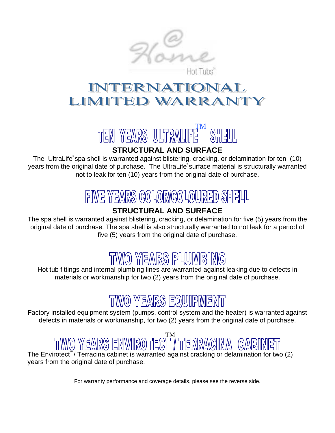

### VATION **LIMTTE** RRAN



## **STRUCTURAL AND SURFACE**

The UltraLife spa shell is warranted against blistering, cracking, or delamination for ten (10) years from the original date of purchase. The UltraLife® surface material is structurally warranted not to leak for ten (10) years from the original date of purchase.

## FIVE YEARS COLOR/COLOURED SHELL

## **STRUCTURAL AND SURFACE**

The spa shell is warranted against blistering, cracking, or delamination for five (5) years from the original date of purchase. The spa shell is also structurally warranted to not leak for a period of five (5) years from the original date of purchase.

# TWO YEARS PLUMBING

Hot tub fittings and internal plumbing lines are warranted against leaking due to defects in materials or workmanship for two (2) years from the original date of purchase.

# TWO YEARS EQUIPMENT

Factory installed equipment system (pumps, control system and the heater) is warranted against defects in materials or workmanship, for two (2) years from the original date of purchase.

# IROTECT / TERRAC

The Envirotect<sup>"</sup>/ Terracina cabinet is warranted against cracking or delamination for two  $(2)$ years from the original date of purchase.

For warranty performance and coverage details, please see the reverse side.